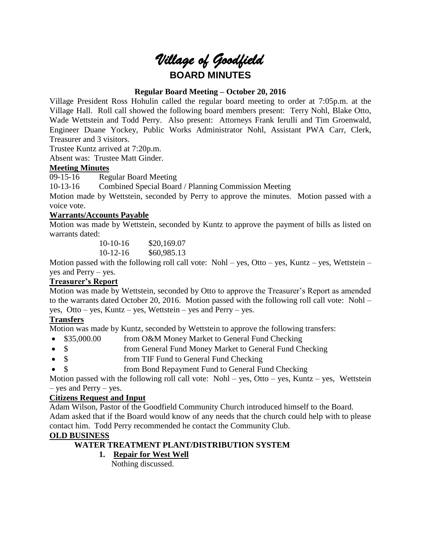# *Village of Goodfield* **BOARD MINUTES**

# **Regular Board Meeting – October 20, 2016**

Village President Ross Hohulin called the regular board meeting to order at 7:05p.m. at the Village Hall. Roll call showed the following board members present: Terry Nohl, Blake Otto, Wade Wettstein and Todd Perry. Also present: Attorneys Frank Ierulli and Tim Groenwald, Engineer Duane Yockey, Public Works Administrator Nohl, Assistant PWA Carr, Clerk, Treasurer and 3 visitors.

Trustee Kuntz arrived at 7:20p.m.

Absent was: Trustee Matt Ginder.

## **Meeting Minutes**

09-15-16 Regular Board Meeting

10-13-16 Combined Special Board / Planning Commission Meeting

Motion made by Wettstein, seconded by Perry to approve the minutes. Motion passed with a voice vote.

# **Warrants/Accounts Payable**

Motion was made by Wettstein, seconded by Kuntz to approve the payment of bills as listed on warrants dated:

> 10-10-16 \$20,169.07 10-12-16 \$60,985.13

Motion passed with the following roll call vote: Nohl – yes, Otto – yes, Kuntz – yes, Wettstein – yes and Perry – yes.

## **Treasurer's Report**

Motion was made by Wettstein, seconded by Otto to approve the Treasurer's Report as amended to the warrants dated October 20, 2016. Motion passed with the following roll call vote: Nohl – yes, Otto – yes, Kuntz – yes, Wettstein – yes and Perry – yes.

## **Transfers**

Motion was made by Kuntz, seconded by Wettstein to approve the following transfers:

- \$35,000.00 from O&M Money Market to General Fund Checking
- \$ from General Fund Money Market to General Fund Checking
- \$ from TIF Fund to General Fund Checking
- \$ from Bond Repayment Fund to General Fund Checking

Motion passed with the following roll call vote: Nohl – yes, Otto – yes, Kuntz – yes, Wettstein – yes and Perry – yes.

## **Citizens Request and Input**

Adam Wilson, Pastor of the Goodfield Community Church introduced himself to the Board. Adam asked that if the Board would know of any needs that the church could help with to please contact him. Todd Perry recommended he contact the Community Club.

## **OLD BUSINESS**

## **WATER TREATMENT PLANT/DISTRIBUTION SYSTEM**

**1. Repair for West Well**

Nothing discussed.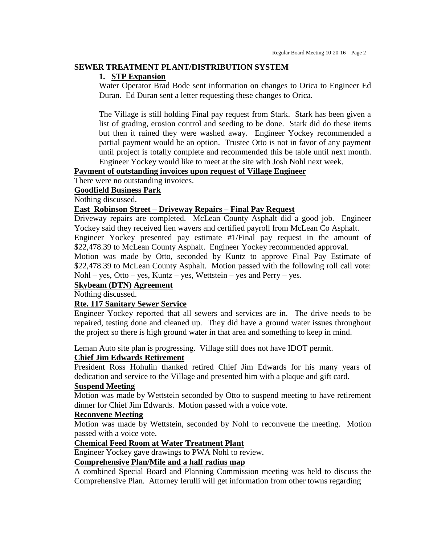#### **SEWER TREATMENT PLANT/DISTRIBUTION SYSTEM**

#### **1. STP Expansion**

Water Operator Brad Bode sent information on changes to Orica to Engineer Ed Duran. Ed Duran sent a letter requesting these changes to Orica.

The Village is still holding Final pay request from Stark. Stark has been given a list of grading, erosion control and seeding to be done. Stark did do these items but then it rained they were washed away. Engineer Yockey recommended a partial payment would be an option. Trustee Otto is not in favor of any payment until project is totally complete and recommended this be table until next month. Engineer Yockey would like to meet at the site with Josh Nohl next week.

# **Payment of outstanding invoices upon request of Village Engineer**

There were no outstanding invoices.

**Goodfield Business Park**

Nothing discussed.

#### **East Robinson Street – Driveway Repairs – Final Pay Request**

Driveway repairs are completed. McLean County Asphalt did a good job. Engineer Yockey said they received lien wavers and certified payroll from McLean Co Asphalt.

Engineer Yockey presented pay estimate #1/Final pay request in the amount of \$22,478.39 to McLean County Asphalt. Engineer Yockey recommended approval.

Motion was made by Otto, seconded by Kuntz to approve Final Pay Estimate of \$22,478.39 to McLean County Asphalt. Motion passed with the following roll call vote: Nohl – yes, Otto – yes, Kuntz – yes, Wettstein – yes and Perry – yes.

## **Skybeam (DTN) Agreement**

Nothing discussed.

## **Rte. 117 Sanitary Sewer Service**

Engineer Yockey reported that all sewers and services are in. The drive needs to be repaired, testing done and cleaned up. They did have a ground water issues throughout the project so there is high ground water in that area and something to keep in mind.

Leman Auto site plan is progressing. Village still does not have IDOT permit.

## **Chief Jim Edwards Retirement**

President Ross Hohulin thanked retired Chief Jim Edwards for his many years of dedication and service to the Village and presented him with a plaque and gift card.

#### **Suspend Meeting**

Motion was made by Wettstein seconded by Otto to suspend meeting to have retirement dinner for Chief Jim Edwards. Motion passed with a voice vote.

#### **Reconvene Meeting**

Motion was made by Wettstein, seconded by Nohl to reconvene the meeting. Motion passed with a voice vote.

#### **Chemical Feed Room at Water Treatment Plant**

Engineer Yockey gave drawings to PWA Nohl to review.

## **Comprehensive Plan/Mile and a half radius map**

A combined Special Board and Planning Commission meeting was held to discuss the Comprehensive Plan. Attorney Ierulli will get information from other towns regarding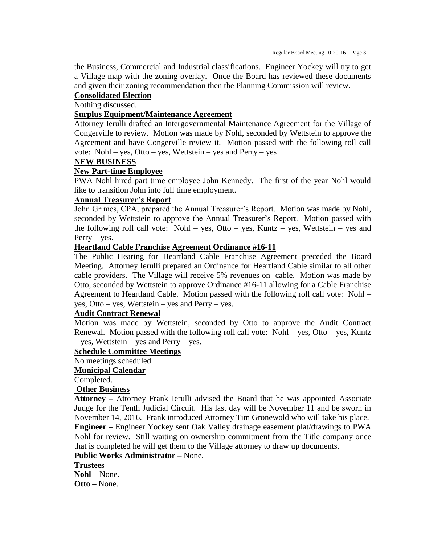the Business, Commercial and Industrial classifications. Engineer Yockey will try to get a Village map with the zoning overlay. Once the Board has reviewed these documents and given their zoning recommendation then the Planning Commission will review.

## **Consolidated Election**

Nothing discussed.

#### **Surplus Equipment/Maintenance Agreement**

Attorney Ierulli drafted an Intergovernmental Maintenance Agreement for the Village of Congerville to review. Motion was made by Nohl, seconded by Wettstein to approve the Agreement and have Congerville review it. Motion passed with the following roll call vote: Nohl – yes, Otto – yes, Wettstein – yes and Perry – yes

#### **NEW BUSINESS**

#### **New Part-time Employee**

PWA Nohl hired part time employee John Kennedy. The first of the year Nohl would like to transition John into full time employment.

#### **Annual Treasurer's Report**

John Grimes, CPA, prepared the Annual Treasurer's Report. Motion was made by Nohl, seconded by Wettstein to approve the Annual Treasurer's Report. Motion passed with the following roll call vote: Nohl – yes, Otto – yes, Kuntz – yes, Wettstein – yes and Perry – yes.

## **Heartland Cable Franchise Agreement Ordinance #16-11**

The Public Hearing for Heartland Cable Franchise Agreement preceded the Board Meeting. Attorney Ierulli prepared an Ordinance for Heartland Cable similar to all other cable providers. The Village will receive 5% revenues on cable. Motion was made by Otto, seconded by Wettstein to approve Ordinance #16-11 allowing for a Cable Franchise Agreement to Heartland Cable. Motion passed with the following roll call vote: Nohl – yes, Otto – yes, Wettstein – yes and Perry – yes.

#### **Audit Contract Renewal**

Motion was made by Wettstein, seconded by Otto to approve the Audit Contract Renewal. Motion passed with the following roll call vote: Nohl – yes, Otto – yes, Kuntz – yes, Wettstein – yes and Perry – yes.

## **Schedule Committee Meetings**

#### No meetings scheduled.

#### **Municipal Calendar**

Completed.

#### **Other Business**

**Attorney –** Attorney Frank Ierulli advised the Board that he was appointed Associate Judge for the Tenth Judicial Circuit. His last day will be November 11 and be sworn in November 14, 2016. Frank introduced Attorney Tim Gronewold who will take his place. **Engineer –** Engineer Yockey sent Oak Valley drainage easement plat/drawings to PWA Nohl for review. Still waiting on ownership commitment from the Title company once that is completed he will get them to the Village attorney to draw up documents.

# **Public Works Administrator –** None.

#### **Trustees**

**Nohl** – None.

**Otto –** None.